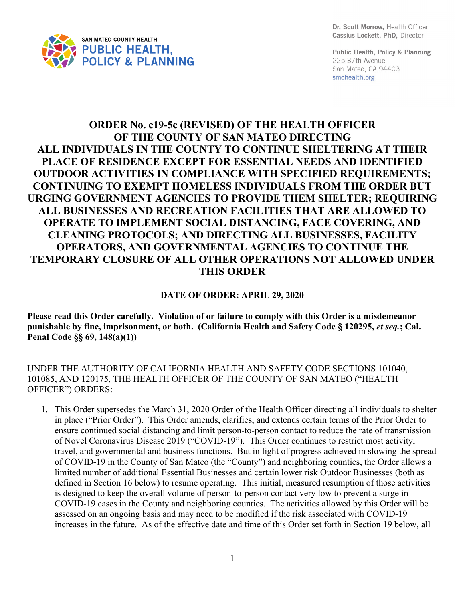

Dr. Scott Morrow. Health Officer Cassius Lockett, PhD, Director

Public Health, Policy & Planning 225 37th Avenue San Mateo, CA 94403 smchealth.org

## **ORDER No. c19-5c (REVISED) OF THE HEALTH OFFICER OF THE COUNTY OF SAN MATEO DIRECTING ALL INDIVIDUALS IN THE COUNTY TO CONTINUE SHELTERING AT THEIR PLACE OF RESIDENCE EXCEPT FOR ESSENTIAL NEEDS AND IDENTIFIED OUTDOOR ACTIVITIES IN COMPLIANCE WITH SPECIFIED REQUIREMENTS; CONTINUING TO EXEMPT HOMELESS INDIVIDUALS FROM THE ORDER BUT URGING GOVERNMENT AGENCIES TO PROVIDE THEM SHELTER; REQUIRING ALL BUSINESSES AND RECREATION FACILITIES THAT ARE ALLOWED TO OPERATE TO IMPLEMENT SOCIAL DISTANCING, FACE COVERING, AND CLEANING PROTOCOLS; AND DIRECTING ALL BUSINESSES, FACILITY OPERATORS, AND GOVERNMENTAL AGENCIES TO CONTINUE THE TEMPORARY CLOSURE OF ALL OTHER OPERATIONS NOT ALLOWED UNDER THIS ORDER**

## **DATE OF ORDER: APRIL 29, 2020**

**Please read this Order carefully. Violation of or failure to comply with this Order is a misdemeanor punishable by fine, imprisonment, or both. (California Health and Safety Code § 120295,** *et seq.***; Cal. Penal Code §§ 69, 148(a)(1))**

UNDER THE AUTHORITY OF CALIFORNIA HEALTH AND SAFETY CODE SECTIONS 101040, 101085, AND 120175, THE HEALTH OFFICER OF THE COUNTY OF SAN MATEO ("HEALTH OFFICER") ORDERS:

1. This Order supersedes the March 31, 2020 Order of the Health Officer directing all individuals to shelter in place ("Prior Order"). This Order amends, clarifies, and extends certain terms of the Prior Order to ensure continued social distancing and limit person-to-person contact to reduce the rate of transmission of Novel Coronavirus Disease 2019 ("COVID-19"). This Order continues to restrict most activity, travel, and governmental and business functions. But in light of progress achieved in slowing the spread of COVID-19 in the County of San Mateo (the "County") and neighboring counties, the Order allows a limited number of additional Essential Businesses and certain lower risk Outdoor Businesses (both as defined in Section 16 below) to resume operating. This initial, measured resumption of those activities is designed to keep the overall volume of person-to-person contact very low to prevent a surge in COVID-19 cases in the County and neighboring counties. The activities allowed by this Order will be assessed on an ongoing basis and may need to be modified if the risk associated with COVID-19 increases in the future. As of the effective date and time of this Order set forth in Section 19 below, all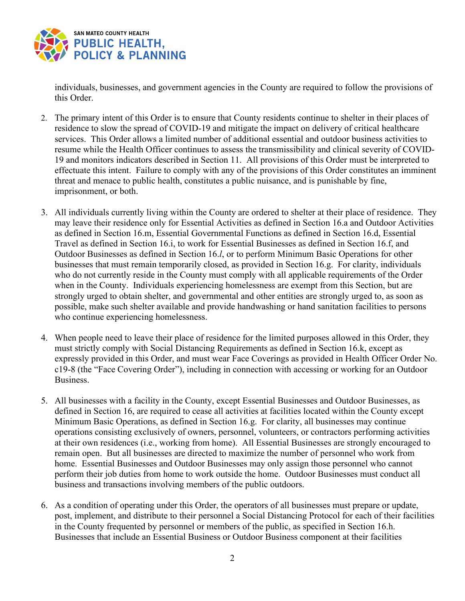

individuals, businesses, and government agencies in the County are required to follow the provisions of this Order.

- 2. The primary intent of this Order is to ensure that County residents continue to shelter in their places of residence to slow the spread of COVID-19 and mitigate the impact on delivery of critical healthcare services. This Order allows a limited number of additional essential and outdoor business activities to resume while the Health Officer continues to assess the transmissibility and clinical severity of COVID-19 and monitors indicators described in Section 11. All provisions of this Order must be interpreted to effectuate this intent. Failure to comply with any of the provisions of this Order constitutes an imminent threat and menace to public health, constitutes a public nuisance, and is punishable by fine, imprisonment, or both.
- 3. All individuals currently living within the County are ordered to shelter at their place of residence. They may leave their residence only for Essential Activities as defined in Section 16.a and Outdoor Activities as defined in Section 16.m, Essential Governmental Functions as defined in Section 16.d, Essential Travel as defined in Section 16.i, to work for Essential Businesses as defined in Section 16.f, and Outdoor Businesses as defined in Section 16.*l*, or to perform Minimum Basic Operations for other businesses that must remain temporarily closed, as provided in Section 16.g. For clarity, individuals who do not currently reside in the County must comply with all applicable requirements of the Order when in the County. Individuals experiencing homelessness are exempt from this Section, but are strongly urged to obtain shelter, and governmental and other entities are strongly urged to, as soon as possible, make such shelter available and provide handwashing or hand sanitation facilities to persons who continue experiencing homelessness.
- 4. When people need to leave their place of residence for the limited purposes allowed in this Order, they must strictly comply with Social Distancing Requirements as defined in Section 16.k, except as expressly provided in this Order, and must wear Face Coverings as provided in Health Officer Order No. c19-8 (the "Face Covering Order"), including in connection with accessing or working for an Outdoor Business.
- 5. All businesses with a facility in the County, except Essential Businesses and Outdoor Businesses, as defined in Section 16, are required to cease all activities at facilities located within the County except Minimum Basic Operations, as defined in Section 16.g. For clarity, all businesses may continue operations consisting exclusively of owners, personnel, volunteers, or contractors performing activities at their own residences (i.e., working from home). All Essential Businesses are strongly encouraged to remain open. But all businesses are directed to maximize the number of personnel who work from home. Essential Businesses and Outdoor Businesses may only assign those personnel who cannot perform their job duties from home to work outside the home. Outdoor Businesses must conduct all business and transactions involving members of the public outdoors.
- 6. As a condition of operating under this Order, the operators of all businesses must prepare or update, post, implement, and distribute to their personnel a Social Distancing Protocol for each of their facilities in the County frequented by personnel or members of the public, as specified in Section 16.h. Businesses that include an Essential Business or Outdoor Business component at their facilities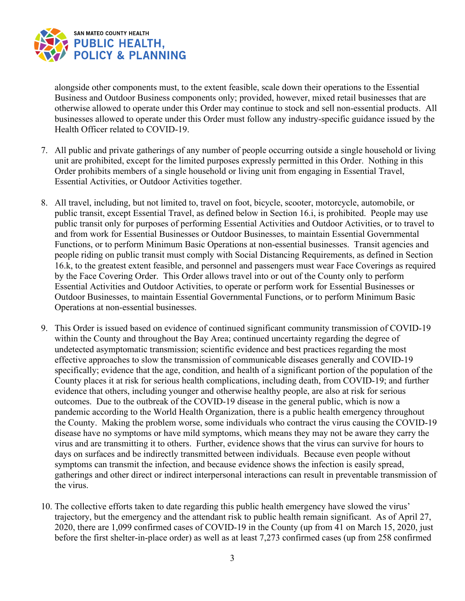

alongside other components must, to the extent feasible, scale down their operations to the Essential Business and Outdoor Business components only; provided, however, mixed retail businesses that are otherwise allowed to operate under this Order may continue to stock and sell non-essential products. All businesses allowed to operate under this Order must follow any industry-specific guidance issued by the Health Officer related to COVID-19.

- 7. All public and private gatherings of any number of people occurring outside a single household or living unit are prohibited, except for the limited purposes expressly permitted in this Order. Nothing in this Order prohibits members of a single household or living unit from engaging in Essential Travel, Essential Activities, or Outdoor Activities together.
- 8. All travel, including, but not limited to, travel on foot, bicycle, scooter, motorcycle, automobile, or public transit, except Essential Travel, as defined below in Section 16.i, is prohibited. People may use public transit only for purposes of performing Essential Activities and Outdoor Activities, or to travel to and from work for Essential Businesses or Outdoor Businesses, to maintain Essential Governmental Functions, or to perform Minimum Basic Operations at non-essential businesses. Transit agencies and people riding on public transit must comply with Social Distancing Requirements, as defined in Section 16.k, to the greatest extent feasible, and personnel and passengers must wear Face Coverings as required by the Face Covering Order. This Order allows travel into or out of the County only to perform Essential Activities and Outdoor Activities, to operate or perform work for Essential Businesses or Outdoor Businesses, to maintain Essential Governmental Functions, or to perform Minimum Basic Operations at non-essential businesses.
- 9. This Order is issued based on evidence of continued significant community transmission of COVID-19 within the County and throughout the Bay Area; continued uncertainty regarding the degree of undetected asymptomatic transmission; scientific evidence and best practices regarding the most effective approaches to slow the transmission of communicable diseases generally and COVID-19 specifically; evidence that the age, condition, and health of a significant portion of the population of the County places it at risk for serious health complications, including death, from COVID-19; and further evidence that others, including younger and otherwise healthy people, are also at risk for serious outcomes. Due to the outbreak of the COVID-19 disease in the general public, which is now a pandemic according to the World Health Organization, there is a public health emergency throughout the County. Making the problem worse, some individuals who contract the virus causing the COVID-19 disease have no symptoms or have mild symptoms, which means they may not be aware they carry the virus and are transmitting it to others. Further, evidence shows that the virus can survive for hours to days on surfaces and be indirectly transmitted between individuals. Because even people without symptoms can transmit the infection, and because evidence shows the infection is easily spread, gatherings and other direct or indirect interpersonal interactions can result in preventable transmission of the virus.
- 10. The collective efforts taken to date regarding this public health emergency have slowed the virus' trajectory, but the emergency and the attendant risk to public health remain significant. As of April 27, 2020, there are 1,099 confirmed cases of COVID-19 in the County (up from 41 on March 15, 2020, just before the first shelter-in-place order) as well as at least 7,273 confirmed cases (up from 258 confirmed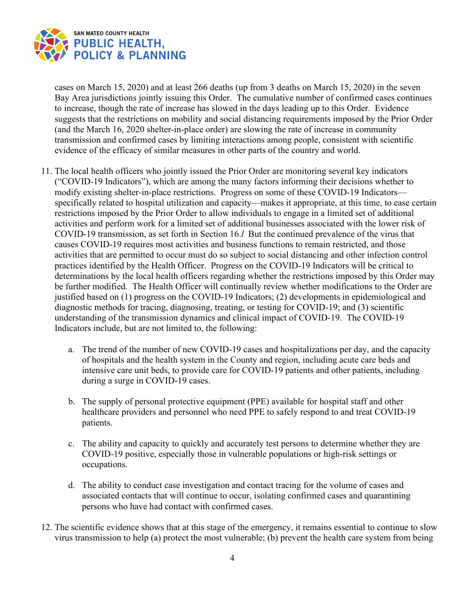

cases on March 15, 2020) and at least 266 deaths (up from 3 deaths on March 15, 2020) in the seven Bay Area jurisdictions jointly issuing this Order. The cumulative number of confirmed cases continues to increase, though the rate of increase has slowed in the days leading up to this Order. Evidence suggests that the restrictions on mobility and social distancing requirements imposed by the Prior Order (and the March 16, 2020 shelter-in-place order) are slowing the rate of increase in community transmission and confirmed cases by limiting interactions among people, consistent with scientific evidence of the efficacy of similar measures in other parts of the country and world.

- 11. The local health officers who jointly issued the Prior Order are monitoring several key indicators ("COVID-19 Indicators"), which are among the many factors informing their decisions whether to modify existing shelter-in-place restrictions. Progress on some of these COVID-19 Indicators specifically related to hospital utilization and capacity—makes it appropriate, at this time, to ease certain restrictions imposed by the Prior Order to allow individuals to engage in a limited set of additional activities and perform work for a limited set of additional businesses associated with the lower risk of COVID-19 transmission, as set forth in Section 16.*l* But the continued prevalence of the virus that causes COVID-19 requires most activities and business functions to remain restricted, and those activities that are permitted to occur must do so subject to social distancing and other infection control practices identified by the Health Officer. Progress on the COVID-19 Indicators will be critical to determinations by the local health officers regarding whether the restrictions imposed by this Order may be further modified. The Health Officer will continually review whether modifications to the Order are justified based on (1) progress on the COVID-19 Indicators; (2) developments in epidemiological and diagnostic methods for tracing, diagnosing, treating, or testing for COVID-19; and (3) scientific understanding of the transmission dynamics and clinical impact of COVID-19. The COVID-19 Indicators include, but are not limited to, the following:
	- a. The trend of the number of new COVID-19 cases and hospitalizations per day, and the capacity of hospitals and the health system in the County and region, including acute care beds and intensive care unit beds, to provide care for COVID-19 patients and other patients, including during a surge in COVID-19 cases.
	- b. The supply of personal protective equipment (PPE) available for hospital staff and other healthcare providers and personnel who need PPE to safely respond to and treat COVID-19 patients.
	- c. The ability and capacity to quickly and accurately test persons to determine whether they are COVID-19 positive, especially those in vulnerable populations or high-risk settings or occupations.
	- d. The ability to conduct case investigation and contact tracing for the volume of cases and associated contacts that will continue to occur, isolating confirmed cases and quarantining persons who have had contact with confirmed cases.
- 12. The scientific evidence shows that at this stage of the emergency, it remains essential to continue to slow virus transmission to help (a) protect the most vulnerable; (b) prevent the health care system from being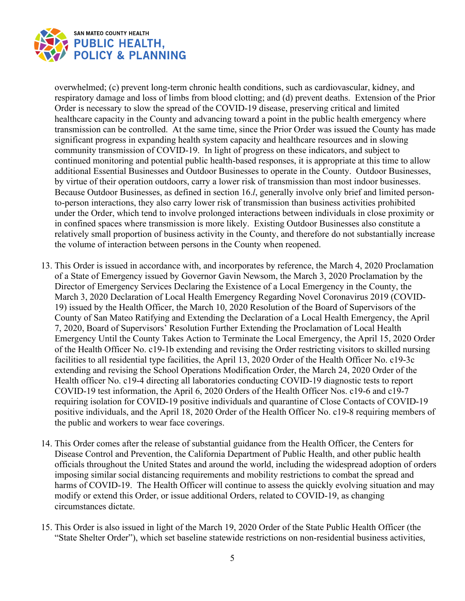

overwhelmed; (c) prevent long-term chronic health conditions, such as cardiovascular, kidney, and respiratory damage and loss of limbs from blood clotting; and (d) prevent deaths. Extension of the Prior Order is necessary to slow the spread of the COVID-19 disease, preserving critical and limited healthcare capacity in the County and advancing toward a point in the public health emergency where transmission can be controlled. At the same time, since the Prior Order was issued the County has made significant progress in expanding health system capacity and healthcare resources and in slowing community transmission of COVID-19. In light of progress on these indicators, and subject to continued monitoring and potential public health-based responses, it is appropriate at this time to allow additional Essential Businesses and Outdoor Businesses to operate in the County. Outdoor Businesses, by virtue of their operation outdoors, carry a lower risk of transmission than most indoor businesses. Because Outdoor Businesses, as defined in section 16.*l*, generally involve only brief and limited personto-person interactions, they also carry lower risk of transmission than business activities prohibited under the Order, which tend to involve prolonged interactions between individuals in close proximity or in confined spaces where transmission is more likely. Existing Outdoor Businesses also constitute a relatively small proportion of business activity in the County, and therefore do not substantially increase the volume of interaction between persons in the County when reopened.

- 13. This Order is issued in accordance with, and incorporates by reference, the March 4, 2020 Proclamation of a State of Emergency issued by Governor Gavin Newsom, the March 3, 2020 Proclamation by the Director of Emergency Services Declaring the Existence of a Local Emergency in the County, the March 3, 2020 Declaration of Local Health Emergency Regarding Novel Coronavirus 2019 (COVID-19) issued by the Health Officer, the March 10, 2020 Resolution of the Board of Supervisors of the County of San Mateo Ratifying and Extending the Declaration of a Local Health Emergency, the April 7, 2020, Board of Supervisors' Resolution Further Extending the Proclamation of Local Health Emergency Until the County Takes Action to Terminate the Local Emergency, the April 15, 2020 Order of the Health Officer No. c19-1b extending and revising the Order restricting visitors to skilled nursing facilities to all residential type facilities, the April 13, 2020 Order of the Health Officer No. c19-3c extending and revising the School Operations Modification Order, the March 24, 2020 Order of the Health officer No. c19-4 directing all laboratories conducting COVID-19 diagnostic tests to report COVID-19 test information, the April 6, 2020 Orders of the Health Officer Nos. c19-6 and c19-7 requiring isolation for COVID-19 positive individuals and quarantine of Close Contacts of COVID-19 positive individuals, and the April 18, 2020 Order of the Health Officer No. c19-8 requiring members of the public and workers to wear face coverings.
- 14. This Order comes after the release of substantial guidance from the Health Officer, the Centers for Disease Control and Prevention, the California Department of Public Health, and other public health officials throughout the United States and around the world, including the widespread adoption of orders imposing similar social distancing requirements and mobility restrictions to combat the spread and harms of COVID-19. The Health Officer will continue to assess the quickly evolving situation and may modify or extend this Order, or issue additional Orders, related to COVID-19, as changing circumstances dictate.
- 15. This Order is also issued in light of the March 19, 2020 Order of the State Public Health Officer (the "State Shelter Order"), which set baseline statewide restrictions on non-residential business activities,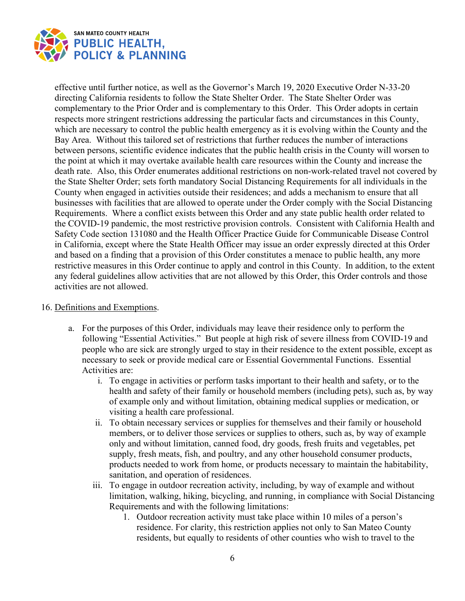

effective until further notice, as well as the Governor's March 19, 2020 Executive Order N-33-20 directing California residents to follow the State Shelter Order. The State Shelter Order was complementary to the Prior Order and is complementary to this Order. This Order adopts in certain respects more stringent restrictions addressing the particular facts and circumstances in this County, which are necessary to control the public health emergency as it is evolving within the County and the Bay Area. Without this tailored set of restrictions that further reduces the number of interactions between persons, scientific evidence indicates that the public health crisis in the County will worsen to the point at which it may overtake available health care resources within the County and increase the death rate. Also, this Order enumerates additional restrictions on non-work-related travel not covered by the State Shelter Order; sets forth mandatory Social Distancing Requirements for all individuals in the County when engaged in activities outside their residences; and adds a mechanism to ensure that all businesses with facilities that are allowed to operate under the Order comply with the Social Distancing Requirements. Where a conflict exists between this Order and any state public health order related to the COVID-19 pandemic, the most restrictive provision controls. Consistent with California Health and Safety Code section 131080 and the Health Officer Practice Guide for Communicable Disease Control in California, except where the State Health Officer may issue an order expressly directed at this Order and based on a finding that a provision of this Order constitutes a menace to public health, any more restrictive measures in this Order continue to apply and control in this County. In addition, to the extent any federal guidelines allow activities that are not allowed by this Order, this Order controls and those activities are not allowed.

## 16. Definitions and Exemptions.

- a. For the purposes of this Order, individuals may leave their residence only to perform the following "Essential Activities." But people at high risk of severe illness from COVID-19 and people who are sick are strongly urged to stay in their residence to the extent possible, except as necessary to seek or provide medical care or Essential Governmental Functions. Essential Activities are:
	- i. To engage in activities or perform tasks important to their health and safety, or to the health and safety of their family or household members (including pets), such as, by way of example only and without limitation, obtaining medical supplies or medication, or visiting a health care professional.
	- ii. To obtain necessary services or supplies for themselves and their family or household members, or to deliver those services or supplies to others, such as, by way of example only and without limitation, canned food, dry goods, fresh fruits and vegetables, pet supply, fresh meats, fish, and poultry, and any other household consumer products, products needed to work from home, or products necessary to maintain the habitability, sanitation, and operation of residences.
	- iii. To engage in outdoor recreation activity, including, by way of example and without limitation, walking, hiking, bicycling, and running, in compliance with Social Distancing Requirements and with the following limitations:
		- 1. Outdoor recreation activity must take place within 10 miles of a person's residence. For clarity, this restriction applies not only to San Mateo County residents, but equally to residents of other counties who wish to travel to the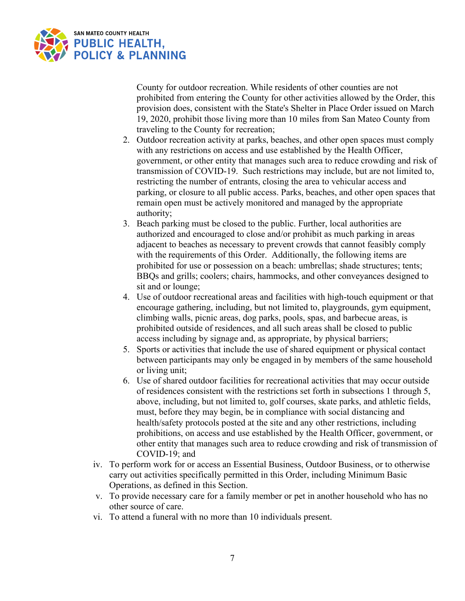

County for outdoor recreation. While residents of other counties are not prohibited from entering the County for other activities allowed by the Order, this provision does, consistent with the State's Shelter in Place Order issued on March 19, 2020, prohibit those living more than 10 miles from San Mateo County from traveling to the County for recreation;

- 2. Outdoor recreation activity at parks, beaches, and other open spaces must comply with any restrictions on access and use established by the Health Officer, government, or other entity that manages such area to reduce crowding and risk of transmission of COVID-19. Such restrictions may include, but are not limited to, restricting the number of entrants, closing the area to vehicular access and parking, or closure to all public access. Parks, beaches, and other open spaces that remain open must be actively monitored and managed by the appropriate authority;
- 3. Beach parking must be closed to the public. Further, local authorities are authorized and encouraged to close and/or prohibit as much parking in areas adjacent to beaches as necessary to prevent crowds that cannot feasibly comply with the requirements of this Order. Additionally, the following items are prohibited for use or possession on a beach: umbrellas; shade structures; tents; BBQs and grills; coolers; chairs, hammocks, and other conveyances designed to sit and or lounge;
- 4. Use of outdoor recreational areas and facilities with high-touch equipment or that encourage gathering, including, but not limited to, playgrounds, gym equipment, climbing walls, picnic areas, dog parks, pools, spas, and barbecue areas, is prohibited outside of residences, and all such areas shall be closed to public access including by signage and, as appropriate, by physical barriers;
- 5. Sports or activities that include the use of shared equipment or physical contact between participants may only be engaged in by members of the same household or living unit;
- 6. Use of shared outdoor facilities for recreational activities that may occur outside of residences consistent with the restrictions set forth in subsections 1 through 5, above, including, but not limited to, golf courses, skate parks, and athletic fields, must, before they may begin, be in compliance with social distancing and health/safety protocols posted at the site and any other restrictions, including prohibitions, on access and use established by the Health Officer, government, or other entity that manages such area to reduce crowding and risk of transmission of COVID-19; and
- iv. To perform work for or access an Essential Business, Outdoor Business, or to otherwise carry out activities specifically permitted in this Order, including Minimum Basic Operations, as defined in this Section.
- v. To provide necessary care for a family member or pet in another household who has no other source of care.
- vi. To attend a funeral with no more than 10 individuals present.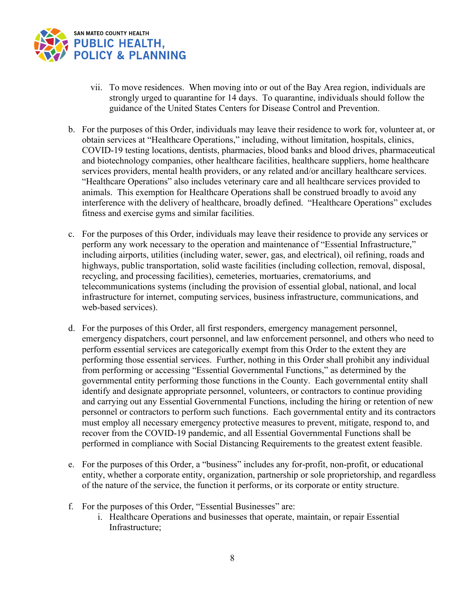

- vii. To move residences. When moving into or out of the Bay Area region, individuals are strongly urged to quarantine for 14 days. To quarantine, individuals should follow the guidance of the United States Centers for Disease Control and Prevention.
- b. For the purposes of this Order, individuals may leave their residence to work for, volunteer at, or obtain services at "Healthcare Operations," including, without limitation, hospitals, clinics, COVID-19 testing locations, dentists, pharmacies, blood banks and blood drives, pharmaceutical and biotechnology companies, other healthcare facilities, healthcare suppliers, home healthcare services providers, mental health providers, or any related and/or ancillary healthcare services. "Healthcare Operations" also includes veterinary care and all healthcare services provided to animals. This exemption for Healthcare Operations shall be construed broadly to avoid any interference with the delivery of healthcare, broadly defined. "Healthcare Operations" excludes fitness and exercise gyms and similar facilities.
- c. For the purposes of this Order, individuals may leave their residence to provide any services or perform any work necessary to the operation and maintenance of "Essential Infrastructure," including airports, utilities (including water, sewer, gas, and electrical), oil refining, roads and highways, public transportation, solid waste facilities (including collection, removal, disposal, recycling, and processing facilities), cemeteries, mortuaries, crematoriums, and telecommunications systems (including the provision of essential global, national, and local infrastructure for internet, computing services, business infrastructure, communications, and web-based services).
- d. For the purposes of this Order, all first responders, emergency management personnel, emergency dispatchers, court personnel, and law enforcement personnel, and others who need to perform essential services are categorically exempt from this Order to the extent they are performing those essential services. Further, nothing in this Order shall prohibit any individual from performing or accessing "Essential Governmental Functions," as determined by the governmental entity performing those functions in the County. Each governmental entity shall identify and designate appropriate personnel, volunteers, or contractors to continue providing and carrying out any Essential Governmental Functions, including the hiring or retention of new personnel or contractors to perform such functions. Each governmental entity and its contractors must employ all necessary emergency protective measures to prevent, mitigate, respond to, and recover from the COVID-19 pandemic, and all Essential Governmental Functions shall be performed in compliance with Social Distancing Requirements to the greatest extent feasible.
- e. For the purposes of this Order, a "business" includes any for-profit, non-profit, or educational entity, whether a corporate entity, organization, partnership or sole proprietorship, and regardless of the nature of the service, the function it performs, or its corporate or entity structure.
- f. For the purposes of this Order, "Essential Businesses" are:
	- i. Healthcare Operations and businesses that operate, maintain, or repair Essential Infrastructure;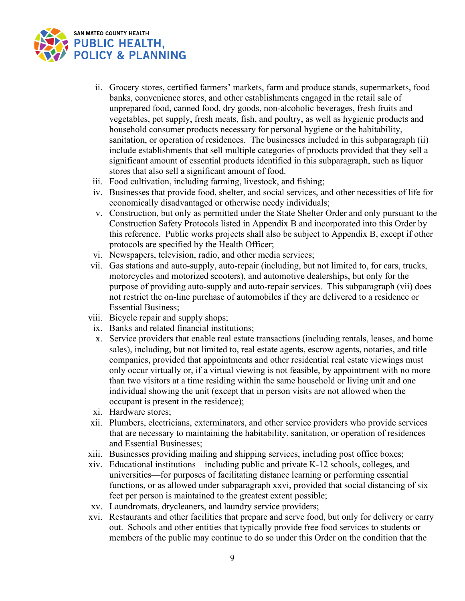

- ii. Grocery stores, certified farmers' markets, farm and produce stands, supermarkets, food banks, convenience stores, and other establishments engaged in the retail sale of unprepared food, canned food, dry goods, non-alcoholic beverages, fresh fruits and vegetables, pet supply, fresh meats, fish, and poultry, as well as hygienic products and household consumer products necessary for personal hygiene or the habitability, sanitation, or operation of residences. The businesses included in this subparagraph (ii) include establishments that sell multiple categories of products provided that they sell a significant amount of essential products identified in this subparagraph, such as liquor stores that also sell a significant amount of food.
- iii. Food cultivation, including farming, livestock, and fishing;
- iv. Businesses that provide food, shelter, and social services, and other necessities of life for economically disadvantaged or otherwise needy individuals;
- v. Construction, but only as permitted under the State Shelter Order and only pursuant to the Construction Safety Protocols listed in Appendix B and incorporated into this Order by this reference. Public works projects shall also be subject to Appendix B, except if other protocols are specified by the Health Officer;
- vi. Newspapers, television, radio, and other media services;
- vii. Gas stations and auto-supply, auto-repair (including, but not limited to, for cars, trucks, motorcycles and motorized scooters), and automotive dealerships, but only for the purpose of providing auto-supply and auto-repair services. This subparagraph (vii) does not restrict the on-line purchase of automobiles if they are delivered to a residence or Essential Business;
- viii. Bicycle repair and supply shops;
- ix. Banks and related financial institutions;
- x. Service providers that enable real estate transactions (including rentals, leases, and home sales), including, but not limited to, real estate agents, escrow agents, notaries, and title companies, provided that appointments and other residential real estate viewings must only occur virtually or, if a virtual viewing is not feasible, by appointment with no more than two visitors at a time residing within the same household or living unit and one individual showing the unit (except that in person visits are not allowed when the occupant is present in the residence);
- xi. Hardware stores;
- xii. Plumbers, electricians, exterminators, and other service providers who provide services that are necessary to maintaining the habitability, sanitation, or operation of residences and Essential Businesses;
- xiii. Businesses providing mailing and shipping services, including post office boxes;
- xiv. Educational institutions—including public and private K-12 schools, colleges, and universities—for purposes of facilitating distance learning or performing essential functions, or as allowed under subparagraph xxvi, provided that social distancing of six feet per person is maintained to the greatest extent possible;
- xv. Laundromats, drycleaners, and laundry service providers;
- xvi. Restaurants and other facilities that prepare and serve food, but only for delivery or carry out. Schools and other entities that typically provide free food services to students or members of the public may continue to do so under this Order on the condition that the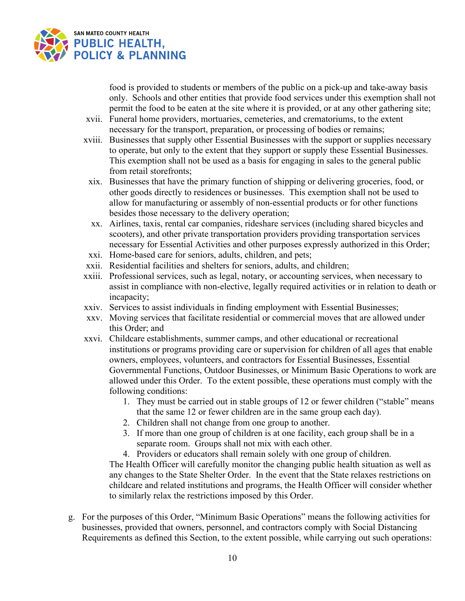

food is provided to students or members of the public on a pick-up and take-away basis only. Schools and other entities that provide food services under this exemption shall not permit the food to be eaten at the site where it is provided, or at any other gathering site;

- xvii. Funeral home providers, mortuaries, cemeteries, and crematoriums, to the extent necessary for the transport, preparation, or processing of bodies or remains;
- xviii. Businesses that supply other Essential Businesses with the support or supplies necessary to operate, but only to the extent that they support or supply these Essential Businesses. This exemption shall not be used as a basis for engaging in sales to the general public from retail storefronts;
- xix. Businesses that have the primary function of shipping or delivering groceries, food, or other goods directly to residences or businesses. This exemption shall not be used to allow for manufacturing or assembly of non-essential products or for other functions besides those necessary to the delivery operation;
- xx. Airlines, taxis, rental car companies, rideshare services (including shared bicycles and scooters), and other private transportation providers providing transportation services necessary for Essential Activities and other purposes expressly authorized in this Order;
- xxi. Home-based care for seniors, adults, children, and pets;
- xxii. Residential facilities and shelters for seniors, adults, and children;
- xxiii. Professional services, such as legal, notary, or accounting services, when necessary to assist in compliance with non-elective, legally required activities or in relation to death or incapacity;
- xxiv. Services to assist individuals in finding employment with Essential Businesses;
- xxv. Moving services that facilitate residential or commercial moves that are allowed under this Order; and
- xxvi. Childcare establishments, summer camps, and other educational or recreational institutions or programs providing care or supervision for children of all ages that enable owners, employees, volunteers, and contractors for Essential Businesses, Essential Governmental Functions, Outdoor Businesses, or Minimum Basic Operations to work are allowed under this Order. To the extent possible, these operations must comply with the following conditions:
	- 1. They must be carried out in stable groups of 12 or fewer children ("stable" means that the same 12 or fewer children are in the same group each day).
	- 2. Children shall not change from one group to another.
	- 3. If more than one group of children is at one facility, each group shall be in a separate room. Groups shall not mix with each other.
	- 4. Providers or educators shall remain solely with one group of children.

The Health Officer will carefully monitor the changing public health situation as well as any changes to the State Shelter Order. In the event that the State relaxes restrictions on childcare and related institutions and programs, the Health Officer will consider whether to similarly relax the restrictions imposed by this Order.

g. For the purposes of this Order, "Minimum Basic Operations" means the following activities for businesses, provided that owners, personnel, and contractors comply with Social Distancing Requirements as defined this Section, to the extent possible, while carrying out such operations: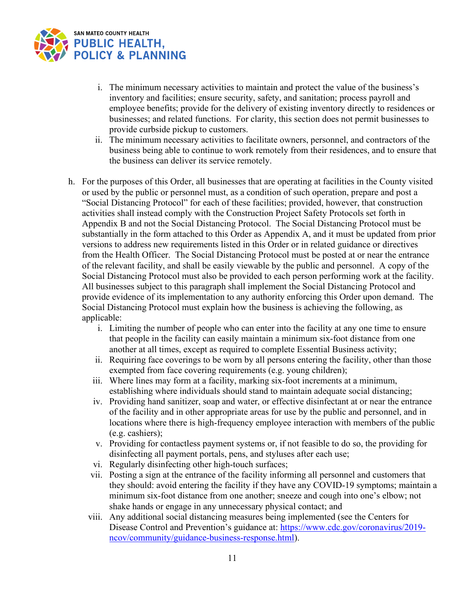

- i. The minimum necessary activities to maintain and protect the value of the business's inventory and facilities; ensure security, safety, and sanitation; process payroll and employee benefits; provide for the delivery of existing inventory directly to residences or businesses; and related functions. For clarity, this section does not permit businesses to provide curbside pickup to customers.
- ii. The minimum necessary activities to facilitate owners, personnel, and contractors of the business being able to continue to work remotely from their residences, and to ensure that the business can deliver its service remotely.
- h. For the purposes of this Order, all businesses that are operating at facilities in the County visited or used by the public or personnel must, as a condition of such operation, prepare and post a "Social Distancing Protocol" for each of these facilities; provided, however, that construction activities shall instead comply with the Construction Project Safety Protocols set forth in Appendix B and not the Social Distancing Protocol. The Social Distancing Protocol must be substantially in the form attached to this Order as Appendix A, and it must be updated from prior versions to address new requirements listed in this Order or in related guidance or directives from the Health Officer. The Social Distancing Protocol must be posted at or near the entrance of the relevant facility, and shall be easily viewable by the public and personnel. A copy of the Social Distancing Protocol must also be provided to each person performing work at the facility. All businesses subject to this paragraph shall implement the Social Distancing Protocol and provide evidence of its implementation to any authority enforcing this Order upon demand. The Social Distancing Protocol must explain how the business is achieving the following, as applicable:
	- i. Limiting the number of people who can enter into the facility at any one time to ensure that people in the facility can easily maintain a minimum six-foot distance from one another at all times, except as required to complete Essential Business activity;
	- ii. Requiring face coverings to be worn by all persons entering the facility, other than those exempted from face covering requirements (e.g. young children);
	- iii. Where lines may form at a facility, marking six-foot increments at a minimum, establishing where individuals should stand to maintain adequate social distancing;
	- iv. Providing hand sanitizer, soap and water, or effective disinfectant at or near the entrance of the facility and in other appropriate areas for use by the public and personnel, and in locations where there is high-frequency employee interaction with members of the public (e.g. cashiers);
	- v. Providing for contactless payment systems or, if not feasible to do so, the providing for disinfecting all payment portals, pens, and styluses after each use;
	- vi. Regularly disinfecting other high-touch surfaces;
	- vii. Posting a sign at the entrance of the facility informing all personnel and customers that they should: avoid entering the facility if they have any COVID-19 symptoms; maintain a minimum six-foot distance from one another; sneeze and cough into one's elbow; not shake hands or engage in any unnecessary physical contact; and
	- viii. Any additional social distancing measures being implemented (see the Centers for Disease Control and Prevention's guidance at: [https://www.cdc.gov/coronavirus/2019](https://urldefense.proofpoint.com/v2/url?u=https-3A__www.cdc.gov_coronavirus_2019-2Dncov_community_guidance-2Dbusiness-2Dresponse.html&d=DwMFAw&c=jIuf2QGe13CVwCCNhnnHSyGX0TfHadH8sr2VwRkl7n8&r=ngkLopuMRZUOqEIlIlHX3zVLl4AZMj7V3rWqAE9UGqQ&m=Qer8m3QWIWOVAJdc_vNH--0HKkNvhAMe3lrb0WmOdBI&s=DyfmdZVnfn5xjeIVMnDZJxkHd-kHAhoUnoNIl0WHytw&e=) [ncov/community/guidance-business-response.html\)](https://urldefense.proofpoint.com/v2/url?u=https-3A__www.cdc.gov_coronavirus_2019-2Dncov_community_guidance-2Dbusiness-2Dresponse.html&d=DwMFAw&c=jIuf2QGe13CVwCCNhnnHSyGX0TfHadH8sr2VwRkl7n8&r=ngkLopuMRZUOqEIlIlHX3zVLl4AZMj7V3rWqAE9UGqQ&m=Qer8m3QWIWOVAJdc_vNH--0HKkNvhAMe3lrb0WmOdBI&s=DyfmdZVnfn5xjeIVMnDZJxkHd-kHAhoUnoNIl0WHytw&e=).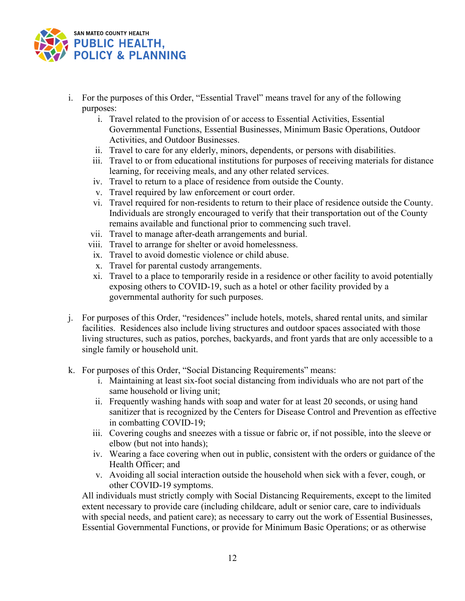

- i. For the purposes of this Order, "Essential Travel" means travel for any of the following purposes:
	- i. Travel related to the provision of or access to Essential Activities, Essential Governmental Functions, Essential Businesses, Minimum Basic Operations, Outdoor Activities, and Outdoor Businesses.
	- ii. Travel to care for any elderly, minors, dependents, or persons with disabilities.
	- iii. Travel to or from educational institutions for purposes of receiving materials for distance learning, for receiving meals, and any other related services.
	- iv. Travel to return to a place of residence from outside the County.
	- v. Travel required by law enforcement or court order.
	- vi. Travel required for non-residents to return to their place of residence outside the County. Individuals are strongly encouraged to verify that their transportation out of the County remains available and functional prior to commencing such travel.
	- vii. Travel to manage after-death arrangements and burial.
	- viii. Travel to arrange for shelter or avoid homelessness.
	- ix. Travel to avoid domestic violence or child abuse.
	- x. Travel for parental custody arrangements.
	- xi. Travel to a place to temporarily reside in a residence or other facility to avoid potentially exposing others to COVID-19, such as a hotel or other facility provided by a governmental authority for such purposes.
- j. For purposes of this Order, "residences" include hotels, motels, shared rental units, and similar facilities. Residences also include living structures and outdoor spaces associated with those living structures, such as patios, porches, backyards, and front yards that are only accessible to a single family or household unit.
- k. For purposes of this Order, "Social Distancing Requirements" means:
	- i. Maintaining at least six-foot social distancing from individuals who are not part of the same household or living unit;
	- ii. Frequently washing hands with soap and water for at least 20 seconds, or using hand sanitizer that is recognized by the Centers for Disease Control and Prevention as effective in combatting COVID-19;
	- iii. Covering coughs and sneezes with a tissue or fabric or, if not possible, into the sleeve or elbow (but not into hands);
	- iv. Wearing a face covering when out in public, consistent with the orders or guidance of the Health Officer; and
	- v. Avoiding all social interaction outside the household when sick with a fever, cough, or other COVID-19 symptoms.

All individuals must strictly comply with Social Distancing Requirements, except to the limited extent necessary to provide care (including childcare, adult or senior care, care to individuals with special needs, and patient care); as necessary to carry out the work of Essential Businesses, Essential Governmental Functions, or provide for Minimum Basic Operations; or as otherwise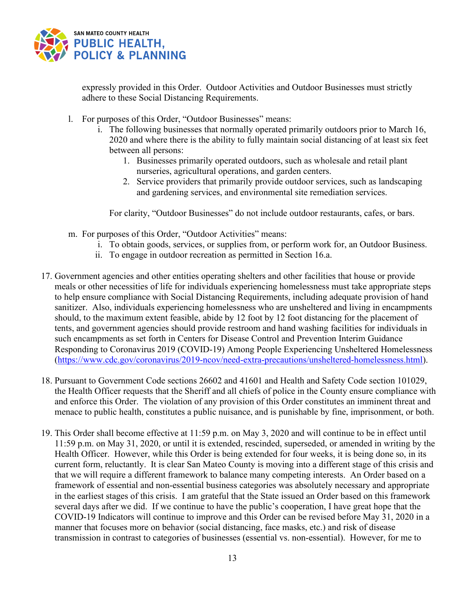

expressly provided in this Order. Outdoor Activities and Outdoor Businesses must strictly adhere to these Social Distancing Requirements.

- l. For purposes of this Order, "Outdoor Businesses" means:
	- i. The following businesses that normally operated primarily outdoors prior to March 16, 2020 and where there is the ability to fully maintain social distancing of at least six feet between all persons:
		- 1. Businesses primarily operated outdoors, such as wholesale and retail plant nurseries, agricultural operations, and garden centers.
		- 2. Service providers that primarily provide outdoor services, such as landscaping and gardening services, and environmental site remediation services.

For clarity, "Outdoor Businesses" do not include outdoor restaurants, cafes, or bars.

- m. For purposes of this Order, "Outdoor Activities" means:
	- i. To obtain goods, services, or supplies from, or perform work for, an Outdoor Business.
	- ii. To engage in outdoor recreation as permitted in Section 16.a.
- 17. Government agencies and other entities operating shelters and other facilities that house or provide meals or other necessities of life for individuals experiencing homelessness must take appropriate steps to help ensure compliance with Social Distancing Requirements, including adequate provision of hand sanitizer. Also, individuals experiencing homelessness who are unsheltered and living in encampments should, to the maximum extent feasible, abide by 12 foot by 12 foot distancing for the placement of tents, and government agencies should provide restroom and hand washing facilities for individuals in such encampments as set forth in Centers for Disease Control and Prevention Interim Guidance Responding to Coronavirus 2019 (COVID-19) Among People Experiencing Unsheltered Homelessness [\(https://www.cdc.gov/coronavirus/2019-ncov/need-extra-precautions/unsheltered-homelessness.html\)](https://www.cdc.gov/coronavirus/2019-ncov/need-extra-precautions/unsheltered-homelessness.html).
- 18. Pursuant to Government Code sections 26602 and 41601 and Health and Safety Code section 101029, the Health Officer requests that the Sheriff and all chiefs of police in the County ensure compliance with and enforce this Order. The violation of any provision of this Order constitutes an imminent threat and menace to public health, constitutes a public nuisance, and is punishable by fine, imprisonment, or both.
- 19. This Order shall become effective at 11:59 p.m. on May 3, 2020 and will continue to be in effect until 11:59 p.m. on May 31, 2020, or until it is extended, rescinded, superseded, or amended in writing by the Health Officer. However, while this Order is being extended for four weeks, it is being done so, in its current form, reluctantly. It is clear San Mateo County is moving into a different stage of this crisis and that we will require a different framework to balance many competing interests. An Order based on a framework of essential and non-essential business categories was absolutely necessary and appropriate in the earliest stages of this crisis. I am grateful that the State issued an Order based on this framework several days after we did. If we continue to have the public's cooperation, I have great hope that the COVID-19 Indicators will continue to improve and this Order can be revised before May 31, 2020 in a manner that focuses more on behavior (social distancing, face masks, etc.) and risk of disease transmission in contrast to categories of businesses (essential vs. non-essential). However, for me to